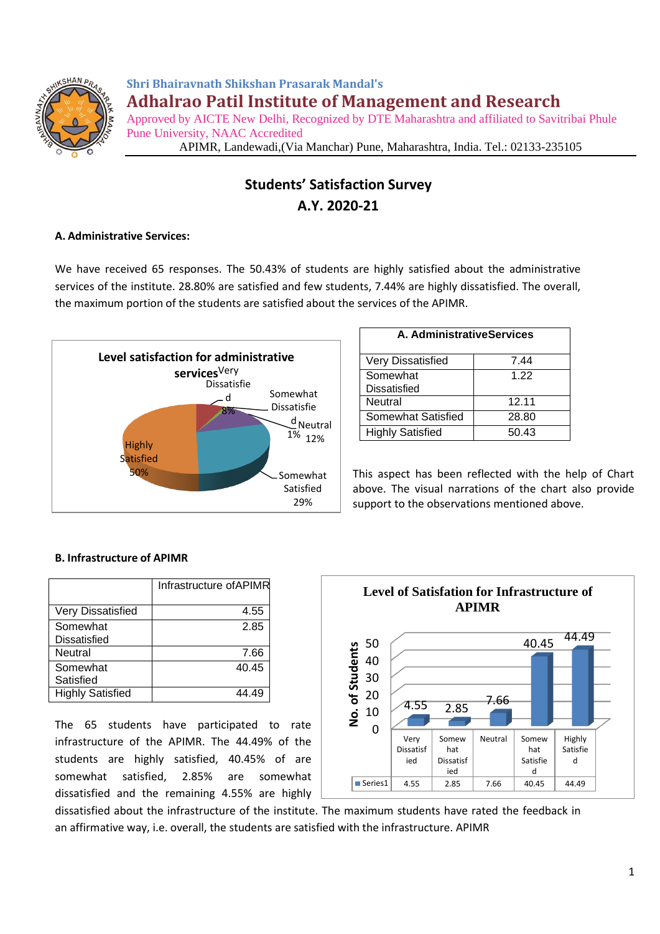

**Shri Bhairavnath Shikshan Prasarak Mandal's Adhalrao Patil Institute of Management and Research** Approved by AICTE New Delhi, Recognized by DTE Maharashtra and affiliated to Savitribai Phule Pune University, NAAC Accredited

APIMR, Landewadi,(Via Manchar) Pune, Maharashtra, India. Tel.: 02133-235105

## **Students' Satisfaction Survey A.Y. 2020-21**

## **A. Administrative Services:**

We have received 65 responses. The 50.43% of students are highly satisfied about the administrative services of the institute. 28.80% are satisfied and few students, 7.44% are highly dissatisfied. The overall, the maximum portion of the students are satisfied about the services of the APIMR.



| A. AdministrativeServices |       |  |
|---------------------------|-------|--|
| <b>Very Dissatisfied</b>  | 7.44  |  |
| Somewhat                  | 1 22  |  |
| <b>Dissatisfied</b>       |       |  |
| Neutral                   | 12.11 |  |
| Somewhat Satisfied        | 28.80 |  |
| <b>Highly Satisfied</b>   | 50.43 |  |

This aspect has been reflected with the help of Chart above. The visual narrations of the chart also provide support to the observations mentioned above.

## **B. Infrastructure of APIMR**

|                                 | Infrastructure of APIMR |
|---------------------------------|-------------------------|
| <b>Very Dissatisfied</b>        | 4.55                    |
| Somewhat<br><b>Dissatisfied</b> | 2.85                    |
| Neutral                         | 7.66                    |
| Somewhat<br>Satisfied           | 40.45                   |
| <b>Highly Satisfied</b>         |                         |

The 65 students have participated to rate infrastructure of the APIMR. The 44.49% of the students are highly satisfied, 40.45% of are somewhat satisfied, 2.85% are somewhat dissatisfied and the remaining 4.55% are highly



dissatisfied about the infrastructure of the institute. The maximum students have rated the feedback in an affirmative way, i.e. overall, the students are satisfied with the infrastructure. APIMR